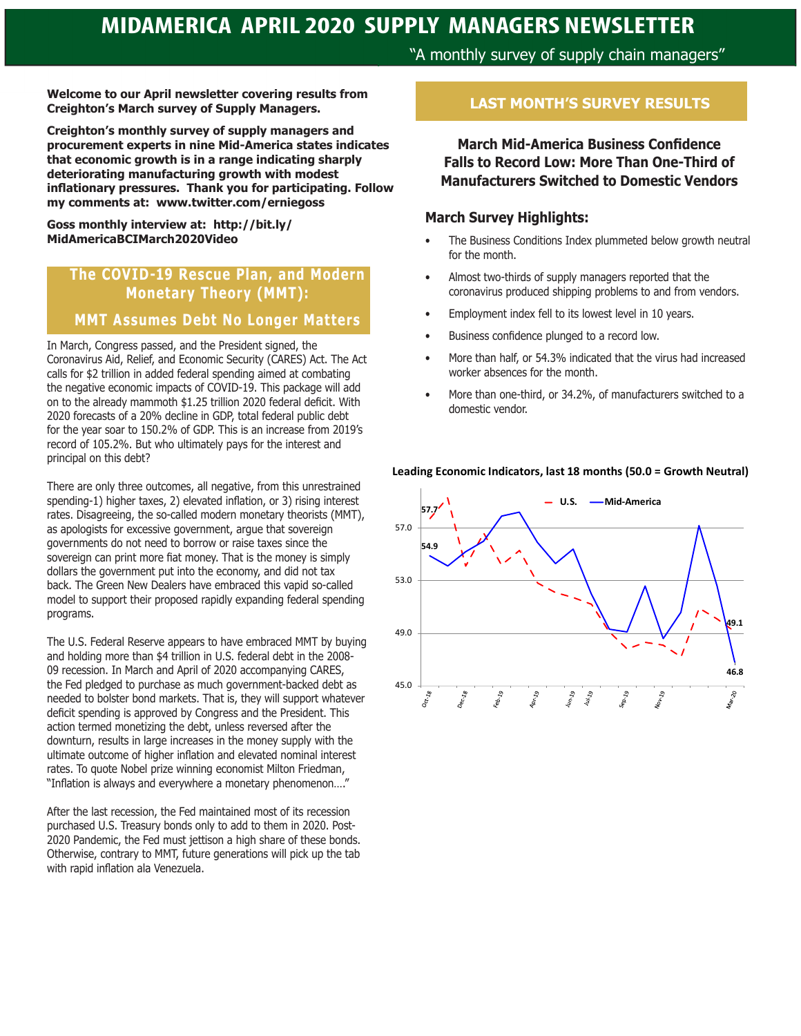# **MIDAMERICA APRIL 2020 SUPPLY MANAGERS NEWSLETTER**

"A monthly survey of supply chain managers"

**Welcome to our April newsletter covering results from Creighton's March survey of Supply Managers.** 

**Creighton's monthly survey of supply managers and procurement experts in nine Mid-America states indicates that economic growth is in a range indicating sharply deteriorating manufacturing growth with modest inflationary pressures. Thank you for participating. Follow my comments at: www.twitter.com/erniegoss** 

**Goss monthly interview at: http://bit.ly/ MidAmericaBCIMarch2020Video**

# **The COVID-19 Rescue Plan, and Modern Monetary Theory (MMT):**

#### **MMT Assumes Debt No Longer Matters**

In March, Congress passed, and the President signed, the Coronavirus Aid, Relief, and Economic Security (CARES) Act. The Act calls for \$2 trillion in added federal spending aimed at combating the negative economic impacts of COVID-19. This package will add on to the already mammoth \$1.25 trillion 2020 federal deficit. With 2020 forecasts of a 20% decline in GDP, total federal public debt for the year soar to 150.2% of GDP. This is an increase from 2019's record of 105.2%. But who ultimately pays for the interest and principal on this debt?

There are only three outcomes, all negative, from this unrestrained spending-1) higher taxes, 2) elevated inflation, or 3) rising interest rates. Disagreeing, the so-called modern monetary theorists (MMT), as apologists for excessive government, argue that sovereign governments do not need to borrow or raise taxes since the sovereign can print more fiat money. That is the money is simply dollars the government put into the economy, and did not tax back. The Green New Dealers have embraced this vapid so-called model to support their proposed rapidly expanding federal spending programs.

The U.S. Federal Reserve appears to have embraced MMT by buying and holding more than \$4 trillion in U.S. federal debt in the 2008- 09 recession. In March and April of 2020 accompanying CARES, the Fed pledged to purchase as much government-backed debt as needed to bolster bond markets. That is, they will support whatever deficit spending is approved by Congress and the President. This action termed monetizing the debt, unless reversed after the downturn, results in large increases in the money supply with the ultimate outcome of higher inflation and elevated nominal interest rates. To quote Nobel prize winning economist Milton Friedman, "Inflation is always and everywhere a monetary phenomenon…."

After the last recession, the Fed maintained most of its recession purchased U.S. Treasury bonds only to add to them in 2020. Post-2020 Pandemic, the Fed must jettison a high share of these bonds. Otherwise, contrary to MMT, future generations will pick up the tab with rapid inflation ala Venezuela.

### **LAST MONTH'S SURVEY RESULTS**

**March Mid-America Business Confidence Falls to Record Low: More Than One-Third of Manufacturers Switched to Domestic Vendors**

#### **March Survey Highlights:**

- The Business Conditions Index plummeted below growth neutral for the month.
- Almost two-thirds of supply managers reported that the coronavirus produced shipping problems to and from vendors.
- Employment index fell to its lowest level in 10 years.
- Business confidence plunged to a record low.
- More than half, or 54.3% indicated that the virus had increased worker absences for the month.
- More than one-third, or 34.2%, of manufacturers switched to a domestic vendor.



#### **Leading Economic Indicators, last 18 months (50.0 = Growth Neutral)**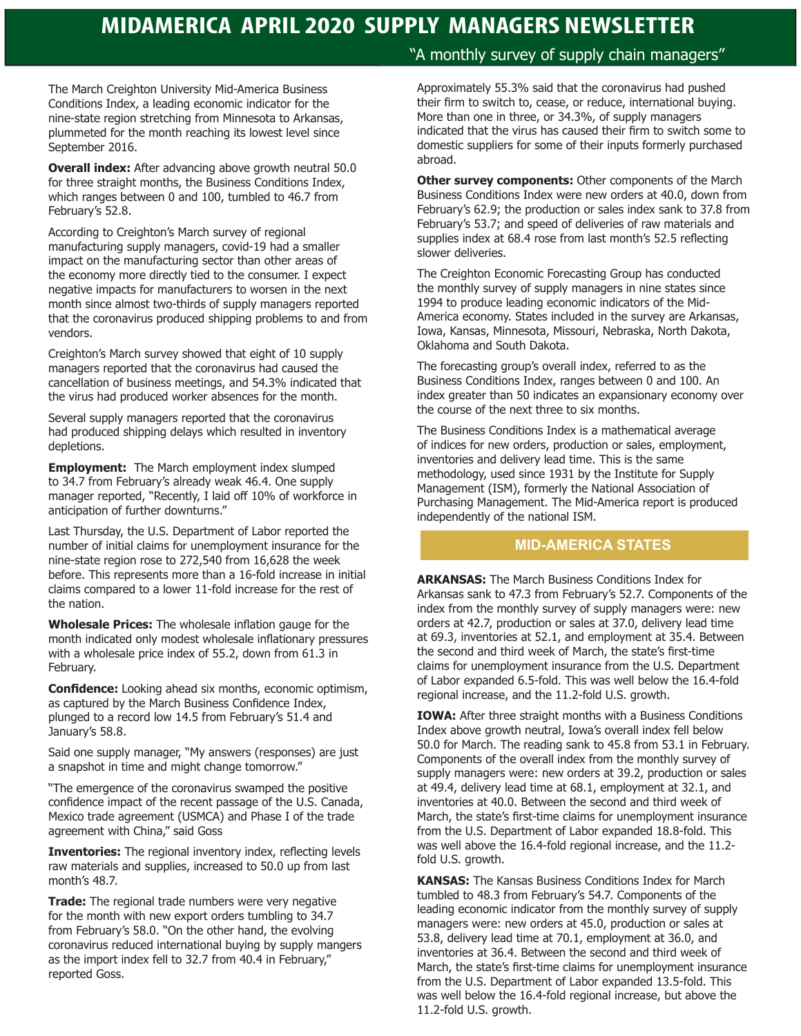# **MIDAMERICA APRIL 2020 SUPPLY MANAGERS NEWSLETTER**

The March Creighton University Mid-America Business Conditions Index, a leading economic indicator for the nine-state region stretching from Minnesota to Arkansas, plummeted for the month reaching its lowest level since September 2016.

**Overall index:** After advancing above growth neutral 50.0 for three straight months, the Business Conditions Index, which ranges between 0 and 100, tumbled to 46.7 from February's 52.8.

According to Creighton's March survey of regional manufacturing supply managers, covid-19 had a smaller impact on the manufacturing sector than other areas of the economy more directly tied to the consumer. I expect negative impacts for manufacturers to worsen in the next month since almost two-thirds of supply managers reported that the coronavirus produced shipping problems to and from vendors.

Creighton's March survey showed that eight of 10 supply managers reported that the coronavirus had caused the cancellation of business meetings, and 54.3% indicated that the virus had produced worker absences for the month.

Several supply managers reported that the coronavirus had produced shipping delays which resulted in inventory depletions.

**Employment:** The March employment index slumped to 34.7 from February's already weak 46.4. One supply manager reported, "Recently, I laid off 10% of workforce in anticipation of further downturns."

Last Thursday, the U.S. Department of Labor reported the number of initial claims for unemployment insurance for the nine-state region rose to 272,540 from 16,628 the week before. This represents more than a 16-fold increase in initial claims compared to a lower 11-fold increase for the rest of the nation.

**Wholesale Prices:** The wholesale inflation gauge for the month indicated only modest wholesale inflationary pressures with a wholesale price index of 55.2, down from 61.3 in February.

**Confidence:** Looking ahead six months, economic optimism, as captured by the March Business Confidence Index, plunged to a record low 14.5 from February's 51.4 and January's 58.8.

Said one supply manager, "My answers (responses) are just a snapshot in time and might change tomorrow."

"The emergence of the coronavirus swamped the positive confidence impact of the recent passage of the U.S. Canada, Mexico trade agreement (USMCA) and Phase I of the trade agreement with China," said Goss

**Inventories:** The regional inventory index, reflecting levels raw materials and supplies, increased to 50.0 up from last month's 48.7.

**Trade:** The regional trade numbers were very negative for the month with new export orders tumbling to 34.7 from February's 58.0. "On the other hand, the evolving coronavirus reduced international buying by supply mangers as the import index fell to 32.7 from 40.4 in February," reported Goss.

# "A monthly survey of supply chain managers"

Approximately 55.3% said that the coronavirus had pushed their firm to switch to, cease, or reduce, international buying. More than one in three, or 34.3%, of supply managers indicated that the virus has caused their firm to switch some to domestic suppliers for some of their inputs formerly purchased abroad.

**Other survey components: Other components of the March** Business Conditions Index were new orders at 40.0, down from February's 62.9; the production or sales index sank to 37.8 from February's 53.7; and speed of deliveries of raw materials and supplies index at 68.4 rose from last month's 52.5 reflecting slower deliveries.

The Creighton Economic Forecasting Group has conducted the monthly survey of supply managers in nine states since 1994 to produce leading economic indicators of the Mid-America economy. States included in the survey are Arkansas, Iowa, Kansas, Minnesota, Missouri, Nebraska, North Dakota, Oklahoma and South Dakota.

The forecasting group's overall index, referred to as the Business Conditions Index, ranges between 0 and 100. An index greater than 50 indicates an expansionary economy over the course of the next three to six months.

The Business Conditions Index is a mathematical average of indices for new orders, production or sales, employment, inventories and delivery lead time. This is the same methodology, used since 1931 by the Institute for Supply Management (ISM), formerly the National Association of Purchasing Management. The Mid-America report is produced independently of the national ISM.

#### **MID-AMERICA STATES**

**ARKANSAS:** The March Business Conditions Index for Arkansas sank to 47.3 from February's 52.7. Components of the index from the monthly survey of supply managers were: new orders at 42.7, production or sales at 37.0, delivery lead time at 69.3, inventories at 52.1, and employment at 35.4. Between the second and third week of March, the state's first-time claims for unemployment insurance from the U.S. Department of Labor expanded 6.5-fold. This was well below the 16.4-fold regional increase, and the 11.2-fold U.S. growth.

**IOWA:** After three straight months with a Business Conditions Index above growth neutral, Iowa's overall index fell below 50.0 for March. The reading sank to 45.8 from 53.1 in February. Components of the overall index from the monthly survey of supply managers were: new orders at 39.2, production or sales at 49.4, delivery lead time at 68.1, employment at 32.1, and inventories at 40.0. Between the second and third week of March, the state's first-time claims for unemployment insurance from the U.S. Department of Labor expanded 18.8-fold. This was well above the 16.4-fold regional increase, and the 11.2 fold U.S. growth.

**KANSAS:** The Kansas Business Conditions Index for March tumbled to 48.3 from February's 54.7. Components of the leading economic indicator from the monthly survey of supply managers were: new orders at 45.0, production or sales at 53.8, delivery lead time at 70.1, employment at 36.0, and inventories at 36.4. Between the second and third week of March, the state's first-time claims for unemployment insurance from the U.S. Department of Labor expanded 13.5-fold. This was well below the 16.4-fold regional increase, but above the 11.2-fold U.S. growth.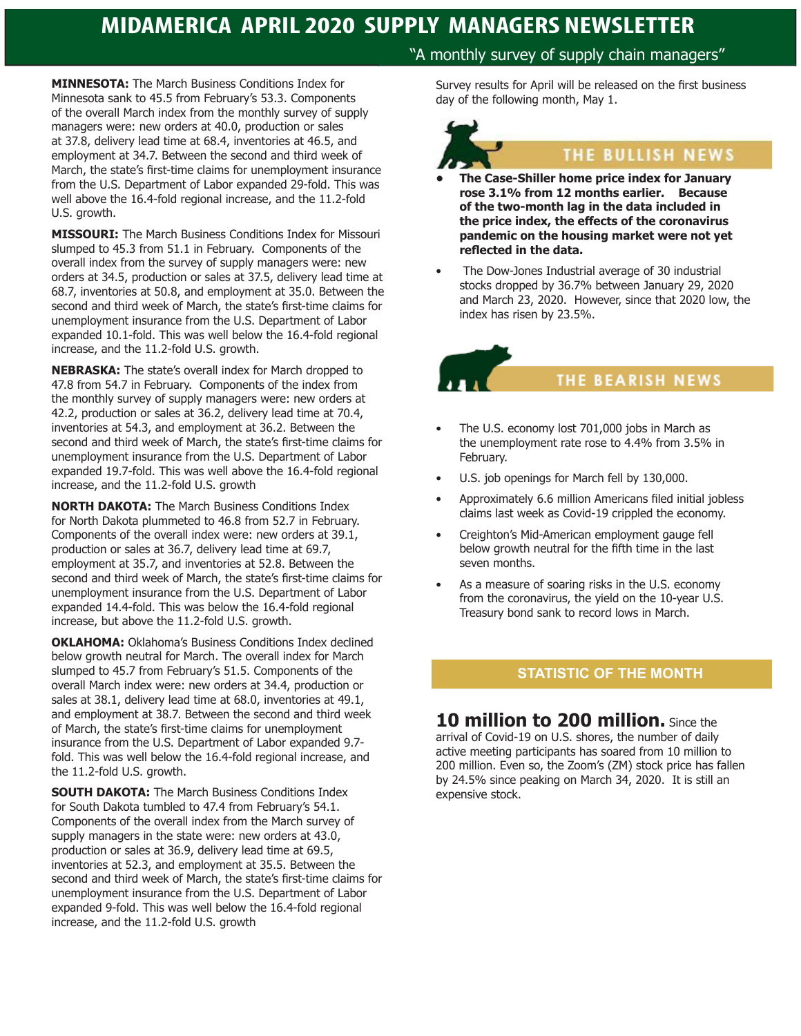# **MIDAMERICA APRIL 2020 SUPPLY MANAGERS NEWSLETTER**

**MINNESOTA:** The March Business Conditions Index for Minnesota sank to 45.5 from February's 53.3. Components of the overall March index from the monthly survey of supply managers were: new orders at 40.0, production or sales at 37.8, delivery lead time at 68.4, inventories at 46.5, and employment at 34.7. Between the second and third week of March, the state's first-time claims for unemployment insurance from the U.S. Department of Labor expanded 29-fold. This was well above the 16.4-fold regional increase, and the 11.2-fold U.S. growth.

**MISSOURI:** The March Business Conditions Index for Missouri slumped to 45.3 from 51.1 in February. Components of the overall index from the survey of supply managers were: new orders at 34.5, production or sales at 37.5, delivery lead time at 68.7, inventories at 50.8, and employment at 35.0. Between the second and third week of March, the state's first-time claims for unemployment insurance from the U.S. Department of Labor expanded 10.1-fold. This was well below the 16.4-fold regional increase, and the 11.2-fold U.S. growth.

**NEBRASKA:** The state's overall index for March dropped to 47.8 from 54.7 in February. Components of the index from the monthly survey of supply managers were: new orders at 42.2, production or sales at 36.2, delivery lead time at 70.4, inventories at 54.3, and employment at 36.2. Between the second and third week of March, the state's first-time claims for unemployment insurance from the U.S. Department of Labor expanded 19.7-fold. This was well above the 16.4-fold regional increase, and the 11.2-fold U.S. growth

**NORTH DAKOTA:** The March Business Conditions Index for North Dakota plummeted to 46.8 from 52.7 in February. Components of the overall index were: new orders at 39.1, production or sales at 36.7, delivery lead time at 69.7, employment at 35.7, and inventories at 52.8. Between the second and third week of March, the state's first-time claims for unemployment insurance from the U.S. Department of Labor expanded 14.4-fold. This was below the 16.4-fold regional increase, but above the 11.2-fold U.S. growth.

**OKLAHOMA:** Oklahoma's Business Conditions Index declined below growth neutral for March. The overall index for March slumped to 45.7 from February's 51.5. Components of the overall March index were: new orders at 34.4, production or sales at 38.1, delivery lead time at 68.0, inventories at 49.1, and employment at 38.7. Between the second and third week of March, the state's first-time claims for unemployment insurance from the U.S. Department of Labor expanded 9.7 fold. This was well below the 16.4-fold regional increase, and the 11.2-fold U.S. growth.

**SOUTH DAKOTA:** The March Business Conditions Index for South Dakota tumbled to 47.4 from February's 54.1. Components of the overall index from the March survey of supply managers in the state were: new orders at 43.0, production or sales at 36.9, delivery lead time at 69.5, inventories at 52.3, and employment at 35.5. Between the second and third week of March, the state's first-time claims for unemployment insurance from the U.S. Department of Labor expanded 9-fold. This was well below the 16.4-fold regional increase, and the 11.2-fold U.S. growth

## "A monthly survey of supply chain managers"

Survey results for April will be released on the first business day of the following month, May 1.



# THE BULLISH NEWS

- **• The Case-Shiller home price index for January rose 3.1% from 12 months earlier. Because of the two-month lag in the data included in the price index, the effects of the coronavirus pandemic on the housing market were not yet reflected in the data.**
- The Dow-Jones Industrial average of 30 industrial stocks dropped by 36.7% between January 29, 2020 and March 23, 2020. However, since that 2020 low, the index has risen by 23.5%.

# THE BEARISH NEWS

- The U.S. economy lost 701,000 jobs in March as the unemployment rate rose to 4.4% from 3.5% in February.
- U.S. job openings for March fell by 130,000.
- Approximately 6.6 million Americans filed initial jobless claims last week as Covid-19 crippled the economy.
- Creighton's Mid-American employment gauge fell below growth neutral for the fifth time in the last seven months.
- As a measure of soaring risks in the U.S. economy from the coronavirus, the yield on the 10-year U.S. Treasury bond sank to record lows in March.

#### **STATISTIC OF THE MONTH**

**10 million to 200 million.** Since the arrival of Covid-19 on U.S. shores, the number of daily active meeting participants has soared from 10 million to 200 million. Even so, the Zoom's (ZM) stock price has fallen by 24.5% since peaking on March 34, 2020. It is still an expensive stock.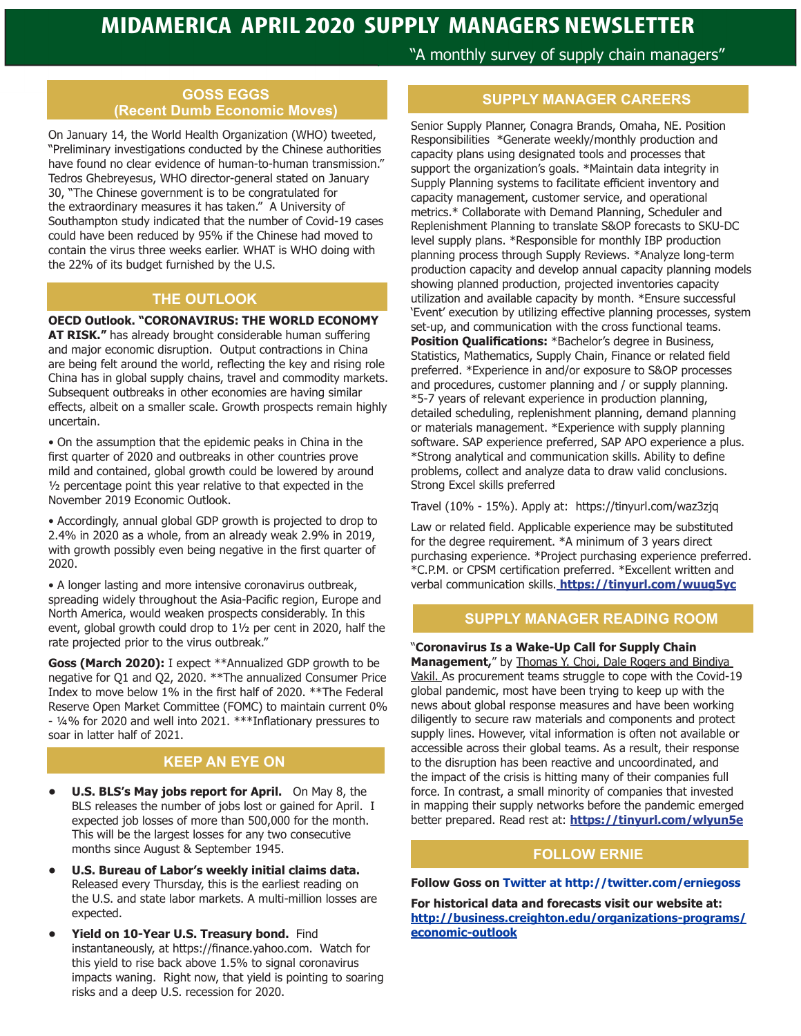"A monthly survey of supply chain managers"

# **GOSS EGGS (Recent Dumb Economic Moves)**

On January 14, the World Health Organization (WHO) tweeted, "Preliminary investigations conducted by the Chinese authorities have found no clear evidence of human-to-human transmission." Tedros Ghebreyesus, WHO director-general stated on January 30, "The Chinese government is to be congratulated for the extraordinary measures it has taken." A University of Southampton study indicated that the number of Covid-19 cases could have been reduced by 95% if the Chinese had moved to contain the virus three weeks earlier. WHAT is WHO doing with the 22% of its budget furnished by the U.S.

# **THE OUTLOOK**

#### **OECD Outlook. "CORONAVIRUS: THE WORLD ECONOMY**

**AT RISK."** has already brought considerable human suffering and major economic disruption. Output contractions in China are being felt around the world, reflecting the key and rising role China has in global supply chains, travel and commodity markets. Subsequent outbreaks in other economies are having similar effects, albeit on a smaller scale. Growth prospects remain highly uncertain.

• On the assumption that the epidemic peaks in China in the first quarter of 2020 and outbreaks in other countries prove mild and contained, global growth could be lowered by around ½ percentage point this year relative to that expected in the November 2019 Economic Outlook.

• Accordingly, annual global GDP growth is projected to drop to 2.4% in 2020 as a whole, from an already weak 2.9% in 2019, with growth possibly even being negative in the first quarter of 2020.

• A longer lasting and more intensive coronavirus outbreak, spreading widely throughout the Asia-Pacific region, Europe and North America, would weaken prospects considerably. In this event, global growth could drop to 1½ per cent in 2020, half the rate projected prior to the virus outbreak."

**Goss (March 2020):** I expect \*\*Annualized GDP growth to be negative for Q1 and Q2, 2020. \*\*The annualized Consumer Price Index to move below 1% in the first half of 2020. \*\*The Federal Reserve Open Market Committee (FOMC) to maintain current 0% - 1/4% for 2020 and well into 2021. \*\*\*Inflationary pressures to soar in latter half of 2021.

# **KEEP AN EYE ON**

- **• U.S. BLS's May jobs report for April.** On May 8, the BLS releases the number of jobs lost or gained for April. I expected job losses of more than 500,000 for the month. This will be the largest losses for any two consecutive months since August & September 1945.
- **• U.S. Bureau of Labor's weekly initial claims data.** Released every Thursday, this is the earliest reading on the U.S. and state labor markets. A multi-million losses are expected.
- **• Yield on 10-Year U.S. Treasury bond.** Find instantaneously, at https://finance.yahoo.com. Watch for this yield to rise back above 1.5% to signal coronavirus impacts waning. Right now, that yield is pointing to soaring risks and a deep U.S. recession for 2020.

# **SUPPLY MANAGER CAREERS**

Senior Supply Planner, Conagra Brands, Omaha, NE. Position Responsibilities \*Generate weekly/monthly production and capacity plans using designated tools and processes that support the organization's goals. \*Maintain data integrity in Supply Planning systems to facilitate efficient inventory and capacity management, customer service, and operational metrics.\* Collaborate with Demand Planning, Scheduler and Replenishment Planning to translate S&OP forecasts to SKU-DC level supply plans. \*Responsible for monthly IBP production planning process through Supply Reviews. \*Analyze long-term production capacity and develop annual capacity planning models showing planned production, projected inventories capacity utilization and available capacity by month. \*Ensure successful 'Event' execution by utilizing effective planning processes, system set-up, and communication with the cross functional teams. **Position Qualifications:** \*Bachelor's degree in Business, Statistics, Mathematics, Supply Chain, Finance or related field preferred. \*Experience in and/or exposure to S&OP processes and procedures, customer planning and / or supply planning. \*5-7 years of relevant experience in production planning, detailed scheduling, replenishment planning, demand planning or materials management. \*Experience with supply planning software. SAP experience preferred, SAP APO experience a plus. \*Strong analytical and communication skills. Ability to define problems, collect and analyze data to draw valid conclusions. Strong Excel skills preferred

Travel (10% - 15%). Apply at: https://tinyurl.com/waz3zjq

Law or related field. Applicable experience may be substituted for the degree requirement. \*A minimum of 3 years direct purchasing experience. \*Project purchasing experience preferred. \*C.P.M. or CPSM certification preferred. \*Excellent written and verbal communication skills. **https://tinyurl.com/wuug5yc**

## **SUPPLY MANAGER READING ROOM**

#### "**Coronavirus Is a Wake-Up Call for Supply Chain**

**Management,**" by Thomas Y. Choi, Dale Rogers and Bindiya Vakil. As procurement teams struggle to cope with the Covid-19 global pandemic, most have been trying to keep up with the news about global response measures and have been working diligently to secure raw materials and components and protect supply lines. However, vital information is often not available or accessible across their global teams. As a result, their response to the disruption has been reactive and uncoordinated, and the impact of the crisis is hitting many of their companies full force. In contrast, a small minority of companies that invested in mapping their supply networks before the pandemic emerged better prepared. Read rest at: **https://tinyurl.com/wlyun5e**

#### **FOLLOW ERNIE**

**Follow Goss on Twitter at http://twitter.com/erniegoss**

**For historical data and forecasts visit our website at: http://business.creighton.edu/organizations-programs/ economic-outlook**